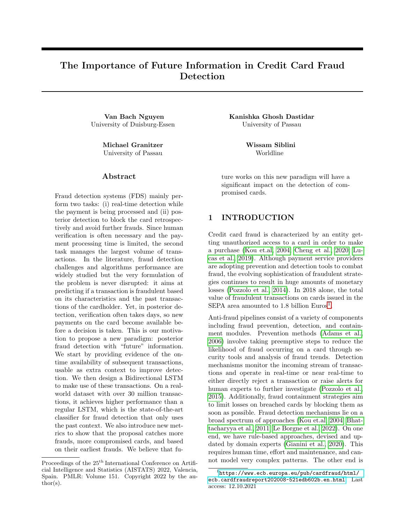# The Importance of Future Information in Credit Card Fraud Detection

Van Bach Nguyen University of Duisburg-Essen

> Michael Granitzer University of Passau

#### ${\rm Abstract}$

Fraud detection systems (FDS) mainly perform two tasks: (i) real-time detection while the payment is being processed and (ii) posterior detection to block the card retrospectively and avoid further frauds. Since human verification is often necessary and the payment processing time is limited, the second task manages the largest volume of transactions. In the literature, fraud detection challenges and algorithms performance are widely studied but the very formulation of the problem is never disrupted: it aims at predicting if a transaction is fraudulent based on its characteristics and the past transactions of the cardholder. Yet, in posterior detection, verification often takes days, so new payments on the card become available before a decision is taken. This is our motivation to propose a new paradigm: posterior fraud detection with "future" information. We start by providing evidence of the ontime availability of subsequent transactions, usable as extra context to improve detection. We then design a Bidirectional LSTM to make use of these transactions. On a realworld dataset with over 30 million transactions, it achieves higher performance than a regular LSTM, which is the state-of-the-art classifier for fraud detection that only uses the past context. We also introduce new metrics to show that the proposal catches more frauds, more compromised cards, and based on their earliest frauds. We believe that fuKanishka Ghosh Dastidar University of Passau

> Wissam Siblini Worldline

ture works on this new paradigm will have a significant impact on the detection of compromised cards.

## 1 INTRODUCTION

Credit card fraud is characterized by an entity getting unauthorized access to a card in order to make a purchase [\(Kou et.al, 2004;](#page-8-0) [Cheng et al., 2020;](#page-8-1) [Lu](#page-8-2)[cas et al., 2019\)](#page-8-2). Although payment service providers are adopting prevention and detection tools to combat fraud, the evolving sophistication of fraudulent strategies continues to result in huge amounts of monetary losses [\(Pozzolo et al., 2014\)](#page-8-3). In 2018 alone, the total value of fraudulent transactions on cards issued in the SEPA area amounted to [1](#page-0-0).8 billion Euros<sup>1</sup>.

Anti-fraud pipelines consist of a variety of components including fraud prevention, detection, and containment modules. Prevention methods [\(Adams et al.,](#page-8-4) [2006\)](#page-8-4) involve taking preemptive steps to reduce the likelihood of fraud occurring on a card through security tools and analysis of fraud trends. Detection mechanisms monitor the incoming stream of transactions and operate in real-time or near real-time to either directly reject a transaction or raise alerts for human experts to further investigate [\(Pozzolo et al.,](#page-8-5) [2015\)](#page-8-5). Additionally, fraud containment strategies aim to limit losses on breached cards by blocking them as soon as possible. Fraud detection mechanisms lie on a broad spectrum of approaches [\(Kou et.al, 2004;](#page-8-0) [Bhat](#page-8-6)[tacharyya et al., 2011;](#page-8-6) [Le Borgne et al., 2022\)](#page-8-7). On one end, we have rule-based approaches, devised and updated by domain experts [\(Gianini et al., 2020\)](#page-8-8). This requires human time, effort and maintenance, and cannot model very complex patterns. The other end is

Proceedings of the  $25<sup>th</sup>$  International Conference on Artificial Intelligence and Statistics (AISTATS) 2022, Valencia, Spain. PMLR: Volume 151. Copyright 2022 by the author(s).

<span id="page-0-0"></span> $^1$ [https://www.ecb.europa.eu/pub/cardfraud/html/](https://www.ecb.europa.eu/pub/cardfraud/html/ecb.cardfraudreport202008~521edb602b.en.html) [ecb.cardfraudreport202008~521edb602b.en.html](https://www.ecb.europa.eu/pub/cardfraud/html/ecb.cardfraudreport202008~521edb602b.en.html), Last access: 12.10.2021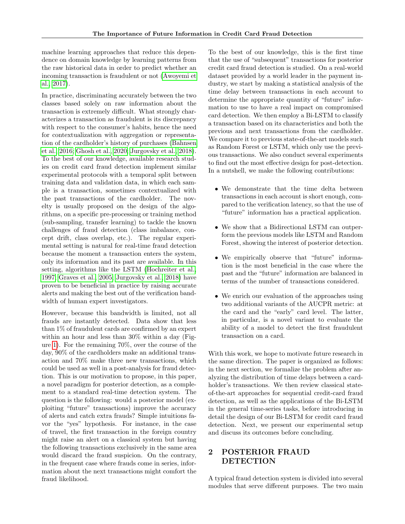machine learning approaches that reduce this dependence on domain knowledge by learning patterns from the raw historical data in order to predict whether an incoming transaction is fraudulent or not [\(Awoyemi et](#page-8-9) [al., 2017\)](#page-8-9).

In practice, discriminating accurately between the two classes based solely on raw information about the transaction is extremely difficult. What strongly characterizes a transaction as fraudulent is its discrepancy with respect to the consumer's habits, hence the need for contextualization with aggregation or representation of the cardholder's history of purchases [\(Bahnsen](#page-8-10) [et al., 2016;](#page-8-10) [Ghosh et al., 2020;](#page-9-0) [Jurgovsky et al., 2018\)](#page-9-1). To the best of our knowledge, available research studies on credit card fraud detection implement similar experimental protocols with a temporal split between training data and validation data, in which each sample is a transaction, sometimes contextualized with the past transactions of the cardholder. The novelty is usually proposed on the design of the algorithms, on a specific pre-processing or training method (sub-sampling, transfer learning) to tackle the known challenges of fraud detection (class imbalance, concept drift, class overlap, etc.). The regular experimental setting is natural for real-time fraud detection because the moment a transaction enters the system, only its information and its past are available. In this setting, algorithms like the LSTM [\(Hochreiter et al.,](#page-9-2) [1997;](#page-9-2) [Graves et al., 2005;](#page-9-3) [Jurgovsky et al., 2018\)](#page-9-1) have proven to be beneficial in practice by raising accurate alerts and making the best out of the verification bandwidth of human expert investigators.

However, because this bandwidth is limited, not all frauds are instantly detected. Data show that less than 1% of fraudulent cards are confirmed by an expert within an hour and less than 30% within a day (Figure [1\)](#page-2-0). For the remaining 70%, over the course of the day, 90% of the cardholders make an additional transaction and 70% make three new transactions, which could be used as well in a post-analysis for fraud detection. This is our motivation to propose, in this paper, a novel paradigm for posterior detection, as a complement to a standard real-time detection system. The question is the following: would a posterior model (exploiting "future" transactions) improve the accuracy of alerts and catch extra frauds? Simple intuitions favor the "yes" hypothesis. For instance, in the case of travel, the first transaction in the foreign country might raise an alert on a classical system but having the following transactions exclusively in the same area would discard the fraud suspicion. On the contrary, in the frequent case where frauds come in series, information about the next transactions might comfort the fraud likelihood.

To the best of our knowledge, this is the first time that the use of "subsequent" transactions for posterior credit card fraud detection is studied. On a real-world dataset provided by a world leader in the payment industry, we start by making a statistical analysis of the time delay between transactions in each account to determine the appropriate quantity of "future" information to use to have a real impact on compromised card detection. We then employ a Bi-LSTM to classify a transaction based on its characteristics and both the previous and next transactions from the cardholder. We compare it to previous state-of-the-art models such as Random Forest or LSTM, which only use the previous transactions. We also conduct several experiments to find out the most effective design for post-detection. In a nutshell, we make the following contributions:

- We demonstrate that the time delta between transactions in each account is short enough, compared to the verification latency, so that the use of "future" information has a practical application.
- We show that a Bidirectional LSTM can outperform the previous models like LSTM and Random Forest, showing the interest of posterior detection.
- We empirically observe that "future" information is the most beneficial in the case where the past and the "future" information are balanced in terms of the number of transactions considered.
- We enrich our evaluation of the approaches using two additional variants of the AUCPR metric: at the card and the "early" card level. The latter, in particular, is a novel variant to evaluate the ability of a model to detect the first fraudulent transaction on a card.

With this work, we hope to motivate future research in the same direction. The paper is organized as follows: in the next section, we formalize the problem after analyzing the distribution of time delays between a cardholder's transactions. We then review classical stateof-the-art approaches for sequential credit-card fraud detection, as well as the applications of the Bi-LSTM in the general time-series tasks, before introducing in detail the design of our Bi-LSTM for credit card fraud detection. Next, we present our experimental setup and discuss its outcomes before concluding.

## 2 POSTERIOR FRAUD DETECTION

A typical fraud detection system is divided into several modules that serve different purposes. The two main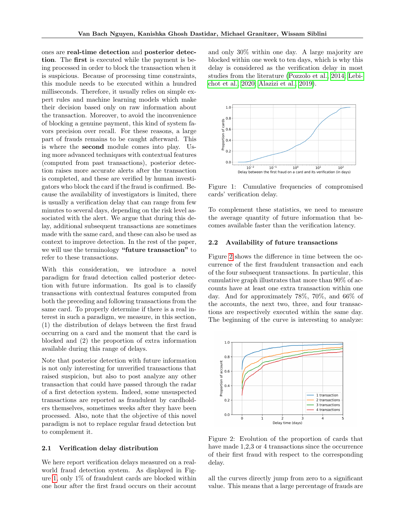ones are real-time detection and posterior detection. The first is executed while the payment is being processed in order to block the transaction when it is suspicious. Because of processing time constraints, this module needs to be executed within a hundred milliseconds. Therefore, it usually relies on simple expert rules and machine learning models which make their decision based only on raw information about the transaction. Moreover, to avoid the inconvenience of blocking a genuine payment, this kind of system favors precision over recall. For these reasons, a large part of frauds remains to be caught afterward. This is where the second module comes into play. Using more advanced techniques with contextual features (computed from past transactions), posterior detection raises more accurate alerts after the transaction is completed, and these are verified by human investigators who block the card if the fraud is confirmed. Because the availability of investigators is limited, there is usually a verification delay that can range from few minutes to several days, depending on the risk level associated with the alert. We argue that during this delay, additional subsequent transactions are sometimes made with the same card, and these can also be used as context to improve detection. In the rest of the paper, we will use the terminology "future transaction" to refer to these transactions.

With this consideration, we introduce a novel paradigm for fraud detection called posterior detection with future information. Its goal is to classify transactions with contextual features computed from both the preceding and following transactions from the same card. To properly determine if there is a real interest in such a paradigm, we measure, in this section, (1) the distribution of delays between the first fraud occurring on a card and the moment that the card is blocked and (2) the proportion of extra information available during this range of delays.

Note that posterior detection with future information is not only interesting for unverified transactions that raised suspicion, but also to post analyze any other transaction that could have passed through the radar of a first detection system. Indeed, some unsuspected transactions are reported as fraudulent by cardholders themselves, sometimes weeks after they have been processed. Also, note that the objective of this novel paradigm is not to replace regular fraud detection but to complement it.

#### 2.1 Verification delay distribution

We here report verification delays measured on a realworld fraud detection system. As displayed in Figure [1,](#page-2-0) only 1% of fraudulent cards are blocked within one hour after the first fraud occurs on their account

and only 30% within one day. A large majority are blocked within one week to ten days, which is why this delay is considered as the verification delay in most studies from the literature [\(Pozzolo et al., 2014;](#page-8-3) [Lebi](#page-9-4)[chot et al., 2020;](#page-9-4) [Alazizi et al., 2019\)](#page-9-5).



<span id="page-2-0"></span>Figure 1: Cumulative frequencies of compromised cards' verification delay.

To complement these statistics, we need to measure the average quantity of future information that becomes available faster than the verification latency.

#### 2.2 Availability of future transactions

Figure [2](#page-2-1) shows the difference in time between the occurrence of the first fraudulent transaction and each of the four subsequent transactions. In particular, this cumulative graph illustrates that more than 90% of accounts have at least one extra transaction within one day. And for approximately 78%, 70%, and 66% of the accounts, the next two, three, and four transactions are respectively executed within the same day. The beginning of the curve is interesting to analyze:



<span id="page-2-1"></span>Figure 2: Evolution of the proportion of cards that have made 1,2,3 or 4 transactions since the occurrence of their first fraud with respect to the corresponding delay.

all the curves directly jump from zero to a significant value. This means that a large percentage of frauds are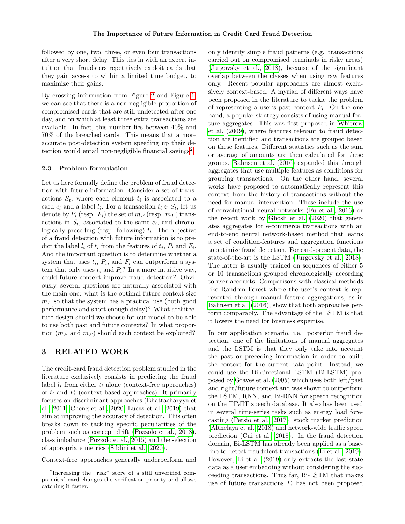followed by one, two, three, or even four transactions after a very short delay. This ties in with an expert intuition that fraudsters repetitively exploit cards that they gain access to within a limited time budget, to maximize their gains.

By crossing information from Figure [2](#page-2-1) and Figure [1,](#page-2-0) we can see that there is a non-negligible proportion of compromised cards that are still undetected after one day, and on which at least three extra transactions are available. In fact, this number lies between 40% and 70% of the breached cards. This means that a more accurate post-detection system speeding up their de-tection would entail non-negligible financial savings<sup>[2](#page-3-0)</sup>.

#### <span id="page-3-1"></span>2.3 Problem formulation

Let us here formally define the problem of fraud detection with future information. Consider a set of transactions  $S_t$ , where each element  $t_i$  is associated to a card  $c_i$  and a label  $l_i$ . For a transaction  $t_i \in S_t$ , let us denote by  $P_i$  (resp.  $F_i$ ) the set of  $m_P$  (resp.  $m_F$ ) transactions in  $S_t$ , associated to the same  $c_i$ , and chronologically preceding (resp. following)  $t_i$ . The objective of a fraud detection with future information is to predict the label  $l_i$  of  $t_i$  from the features of  $t_i$ ,  $P_i$  and  $F_i$ . And the important question is to determine whether a system that uses  $t_i$ ,  $P_i$ , and  $F_i$  can outperform a system that only uses  $t_i$  and  $P_i$ ? In a more intuitive way, could future context improve fraud detection? Obviously, several questions are naturally associated with the main one: what is the optimal future context size  $m_F$  so that the system has a practical use (both good performance and short enough delay)? What architecture design should we choose for our model to be able to use both past and future contexts? In what proportion  $(m_P \text{ and } m_F)$  should each context be exploited?

### 3 RELATED WORK

The credit-card fraud detection problem studied in the literature exclusively consists in predicting the fraud label  $l_i$  from either  $t_i$  alone (context-free approaches) or  $t_i$  and  $P_i$  (context-based approaches). It primarily focuses on discriminant approaches [\(Bhattacharyya et](#page-8-6) [al., 2011;](#page-8-6) [Cheng et al., 2020;](#page-8-1) [Lucas et al., 2019\)](#page-8-2) that aim at improving the accuracy of detection. This often breaks down to tackling specific peculiarities of the problem such as concept drift [\(Pozzolo et al., 2018\)](#page-8-11), class imbalance [\(Pozzolo et al., 2015\)](#page-8-5) and the selection of appropriate metrics [\(Siblini et al., 2020\)](#page-8-12).

Context-free approaches generally underperform and

only identify simple fraud patterns (e.g. transactions carried out on compromised terminals in risky areas) [\(Jurgovsky et al., 2018\)](#page-9-1), because of the significant overlap between the classes when using raw features only. Recent popular approaches are almost exclusively context-based. A myriad of different ways have been proposed in the literature to tackle the problem of representing a user's past context  $P_i$ . On the one hand, a popular strategy consists of using manual feature aggregates. This was first proposed in [Whitrow](#page-8-13) [et al.](#page-8-13) [\(2009\)](#page-8-13), where features relevant to fraud detection are identified and transactions are grouped based on these features. Different statistics such as the sum or average of amounts are then calculated for these groups. [Bahnsen et al.](#page-8-10) [\(2016\)](#page-8-10) expanded this through aggregates that use multiple features as conditions for grouping transactions. On the other hand, several works have proposed to automatically represent this context from the history of transactions without the need for manual intervention. These include the use of convolutional neural networks [\(Fu et al., 2016\)](#page-8-14) or the recent work by [Ghosh et al.](#page-9-0) [\(2020\)](#page-9-0) that generates aggregates for e-commerce transactions with an end-to-end neural network-based method that learns a set of condition-features and aggregation functions to optimize fraud detection. For card-present data, the state-of-the-art is the LSTM [\(Jurgovsky et al., 2018\)](#page-9-1). The latter is usually trained on sequences of either 5 or 10 transactions grouped chronologically according to user accounts. Comparisons with classical methods like Random Forest where the user's context is represented through manual feature aggregations, as in [Bahnsen et al.](#page-8-10) [\(2016\)](#page-8-10), show that both approaches perform comparably. The advantage of the LSTM is that it lowers the need for business expertise.

In our application scenario, i.e. posterior fraud detection, one of the limitations of manual aggregates and the LSTM is that they only take into account the past or preceding information in order to build the context for the current data point. Instead, we could use the Bi-directional LSTM (Bi-LSTM) proposed by [Graves et al.](#page-9-3) [\(2005\)](#page-9-3) which uses both left/past and right/future context and was shown to outperform the LSTM, RNN, and Bi-RNN for speech recognition on the TIMIT speech database. It also has been used in several time-series tasks such as energy load forecasting [\(Persio et al., 2017\)](#page-9-6), stock market prediction [\(Althelaya et al., 2018\)](#page-9-7) and network-wide traffic speed prediction [\(Cui et al., 2018\)](#page-9-8). In the fraud detection domain, Bi-LSTM has already been applied as a baseline to detect fraudulent transactions [\(Li et al., 2019\)](#page-9-9). However, [Li et al.](#page-9-9) [\(2019\)](#page-9-9) only extracts the last state data as a user embedding without considering the succeeding transactions. Thus far, Bi-LSTM that makes use of future transactions  $F_i$  has not been proposed

<span id="page-3-0"></span><sup>&</sup>lt;sup>2</sup>Increasing the "risk" score of a still unverified compromised card changes the verification priority and allows catching it faster.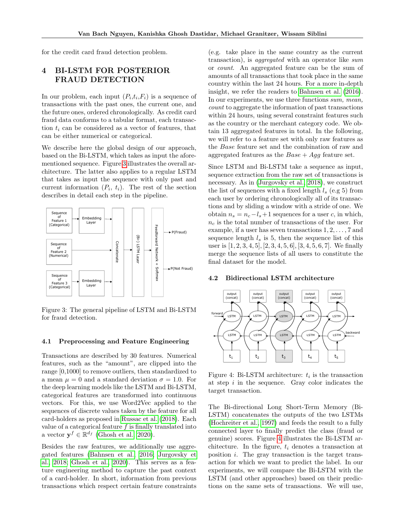for the credit card fraud detection problem.

# 4 BI-LSTM FOR POSTERIOR FRAUD DETECTION

In our problem, each input  $(P_i,t_i,F_i)$  is a sequence of transactions with the past ones, the current one, and the future ones, ordered chronologically. As credit card fraud data conforms to a tabular format, each transaction  $t_i$  can be considered as a vector of features, that can be either numerical or categorical.

We describe here the global design of our approach, based on the Bi-LSTM, which takes as input the aforementioned sequence. Figure [3](#page-4-0) illustrates the overall architecture. The latter also applies to a regular LSTM that takes as input the sequence with only past and current information  $(P_i, t_i)$ . The rest of the section describes in detail each step in the pipeline.



<span id="page-4-0"></span>Figure 3: The general pipeline of LSTM and Bi-LSTM for fraud detection.

#### 4.1 Preprocessing and Feature Engineering

Transactions are described by 30 features. Numerical features, such as the "amount", are clipped into the range [0,1000] to remove outliers, then standardized to a mean  $\mu = 0$  and a standard deviation  $\sigma = 1.0$ . For the deep learning models like the LSTM and Bi-LSTM, categorical features are transformed into continuous vectors. For this, we use Word2Vec applied to the sequences of discrete values taken by the feature for all card-holders as proposed in [Russac et al.](#page-9-10) [\(2018\)](#page-9-10). Each value of a categorical feature  $f$  is finally translated into a vector  $\mathbf{y}^f \in \mathbb{R}^{d_f}$  [\(Ghosh et al., 2020\)](#page-9-0).

Besides the raw features, we additionally use aggregated features [\(Bahnsen et al., 2016;](#page-8-10) [Jurgovsky et](#page-9-1) [al., 2018;](#page-9-1) [Ghosh et al., 2020\)](#page-9-0). This serves as a feature engineering method to capture the past context of a card-holder. In short, information from previous transactions which respect certain feature constraints

(e.g. take place in the same country as the current transaction), is aggregated with an operator like sum or count. An aggregated feature can be the sum of amounts of all transactions that took place in the same country within the last 24 hours. For a more in-depth insight, we refer the readers to [Bahnsen et al.](#page-8-10) [\(2016\)](#page-8-10). In our experiments, we use three functions sum, mean, count to aggregate the information of past transactions within 24 hours, using several constraint features such as the country or the merchant category code. We obtain 13 aggregated features in total. In the following, we will refer to a feature set with only raw features as the Base feature set and the combination of raw and aggregated features as the  $Base + Agg$  feature set.

Since LSTM and Bi-LSTM take a sequence as input, sequence extraction from the raw set of transactions is necessary. As in [\(Jurgovsky et al., 2018\)](#page-9-1), we construct the list of sequences with a fixed length  $l_s$  (e.g 5) from each user by ordering chronologically all of its transactions and by sliding a window with a stride of one. We obtain  $n_s = n_c - l_s + 1$  sequences for a user c, in which,  $n_c$  is the total number of transactions of the user. For example, if a user has seven transactions 1, 2, . . . , 7 and sequence length  $l_s$  is 5, then the sequence list of this user is  $[1, 2, 3, 4, 5]$ ,  $[2, 3, 4, 5, 6]$ ,  $[3, 4, 5, 6, 7]$ . We finally merge the sequence lists of all users to constitute the final dataset for the model.

#### 4.2 Bidirectional LSTM architecture



<span id="page-4-1"></span>Figure 4: Bi-LSTM architecture:  $t_i$  is the transaction at step  $i$  in the sequence. Gray color indicates the target transaction.

The Bi-directional Long Short-Term Memory (Bi-LSTM) concatenates the outputs of the two LSTMs [\(Hochreiter et al., 1997\)](#page-9-2) and feeds the result to a fully connected layer to finally predict the class (fraud or genuine) scores. Figure [4](#page-4-1) illustrates the Bi-LSTM architecture. In the figure,  $t_i$  denotes a transaction at position  $i$ . The gray transaction is the target transaction for which we want to predict the label. In our experiments, we will compare the Bi-LSTM with the LSTM (and other approaches) based on their predictions on the same sets of transactions. We will use,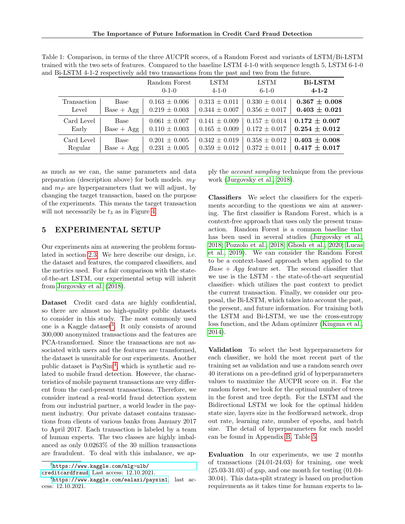<span id="page-5-2"></span>Table 1: Comparison, in terms of the three AUCPR scores, of a Random Forest and variants of LSTM/Bi-LSTM trained with the two sets of features. Compared to the baseline LSTM 4-1-0 with sequence length 5, LSTM 6-1-0 and Bi-LSTM 4-1-2 respectively add two transactions from the past and two from the future.

|             |              | Random Forest<br>$0 - 1 - 0$ | <b>LSTM</b><br>$4 - 1 - 0$ | <b>LSTM</b><br>$6 - 1 - 0$ | <b>Bi-LSTM</b><br>$4 - 1 - 2$ |
|-------------|--------------|------------------------------|----------------------------|----------------------------|-------------------------------|
| Transaction | <b>Base</b>  | $0.163 \pm 0.006$            | $0.313 \pm 0.011$          | $0.330 \pm 0.014$          | $0.367 \pm 0.008$             |
| Level       | $Base + Age$ | $0.219 \pm 0.003$            | $0.344 \pm 0.007$          | $0.356 \pm 0.017$          | $0.403 \pm 0.021$             |
| Card Level  | Base         | $0.061 \pm 0.007$            | $0.141 \pm 0.009$          | $0.157 \pm 0.014$          | $0.172 + 0.007$               |
| Early       | $Base + Agg$ | $0.110 \pm 0.003$            | $0.165 \pm 0.009$          | $0.172 \pm 0.017$          | $0.254 \pm 0.012$             |
| Card Level  | Base         | $0.201 \pm 0.005$            | $0.342 \pm 0.019$          | $0.358 \pm 0.012$          | $0.403 \pm 0.008$             |
| Regular     | $Base + Agg$ | $0.231 \pm 0.005$            | $0.359 \pm 0.012$          | $0.372 \pm 0.011$          | $0.417 \pm 0.017$             |

as much as we can, the same parameters and data preparation (description above) for both models.  $m_F$ and  $m_P$  are hyperparameters that we will adjust, by changing the target transaction, based on the purpose of the experiments. This means the target transaction will not necessarily be  $t_3$  as in Figure [4.](#page-4-1)

### 5 EXPERIMENTAL SETUP

Our experiments aim at answering the problem formulated in section [2.3.](#page-3-1) We here describe our design, i.e. the dataset and features, the compared classifiers, and the metrics used. For a fair comparison with the stateof-the-art LSTM, our experimental setup will inherit from [Jurgovsky et al.](#page-9-1) [\(2018\)](#page-9-1).

Dataset Credit card data are highly confidential, so there are almost no high-quality public datasets to consider in this study. The most commonly used one is a Kaggle dataset<sup>[3](#page-5-0)</sup>. It only consists of around 300,000 anonymized transactions and the features are PCA-transformed. Since the transactions are not associated with users and the features are transformed, the dataset is unsuitable for our experiments. Another public dataset is PaySim[4](#page-5-1) , which is synthetic and related to mobile fraud detection. However, the characteristics of mobile payment transactions are very different from the card-present transactions. Therefore, we consider instead a real-world fraud detection system from our industrial partner, a world leader in the payment industry. Our private dataset contains transactions from clients of various banks from January 2017 to April 2017. Each transaction is labeled by a team of human experts. The two classes are highly imbalanced as only 0.0263% of the 30 million transactions are fraudulent. To deal with this imbalance, we ap-

<span id="page-5-0"></span> $^3$ [https://www.kaggle.com/mlg-ulb/](https://www.kaggle.com/mlg-ulb/creditcardfraud)

[creditcardfraud](https://www.kaggle.com/mlg-ulb/creditcardfraud), Last access: 12.10.2021.

ply the account sampling technique from the previous work [\(Jurgovsky et al., 2018\)](#page-9-1).

Classifiers We select the classifiers for the experiments according to the questions we aim at answering. The first classifier is Random Forest, which is a context-free approach that uses only the present transaction. Random Forest is a common baseline that has been used in several studies [\(Jurgovsky et al.,](#page-9-1) [2018;](#page-9-1) [Pozzolo et al., 2018;](#page-8-11) [Ghosh et al., 2020;](#page-9-0) [Lucas](#page-8-2) [et al., 2019\)](#page-8-2). We can consider the Random Forest to be a context-based approach when applied to the  $Base + Agg$  feature set. The second classifier that we use is the LSTM - the state-of-the-art sequential classifier- which utilizes the past context to predict the current transaction. Finally, we consider our proposal, the Bi-LSTM, which takes into account the past, the present, and future information. For training both the LSTM and Bi-LSTM, we use the cross-entropy loss function, and the Adam optimizer [\(Kingma et al.,](#page-9-11) [2014\)](#page-9-11).

Validation To select the best hyperparameters for each classifier, we hold the most recent part of the training set as validation and use a random search over 40 iterations on a pre-defined grid of hyperparameters values to maximize the AUCPR score on it. For the random forest, we look for the optimal number of trees in the forest and tree depth. For the LSTM and the Bidirectional LSTM we look for the optimal hidden state size, layers size in the feedforward network, drop out rate, learning rate, number of epochs, and batch size. The detail of hyperparameters for each model can be found in Appendix [B,](#page-10-0) Table [5.](#page-10-1)

Evaluation In our experiments, we use 2 months of transactions (24.01-24.03) for training, one week  $(25.03-31.03)$  of gap, and one month for testing  $(01.04-$ 30.04). This data-split strategy is based on production requirements as it takes time for human experts to la-

<span id="page-5-1"></span> $^4$ <https://www.kaggle.com/ealaxi/paysim1>,  $last$  access: 12.10.2021.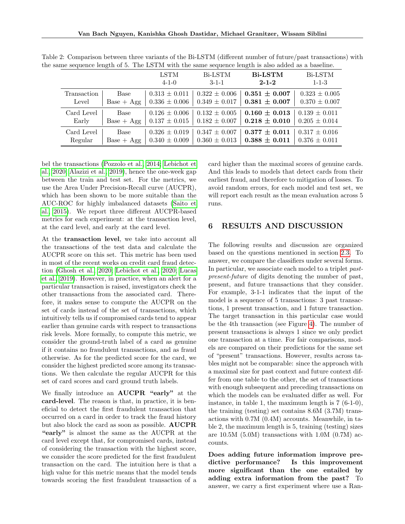<span id="page-6-0"></span>

|             | $\overline{\phantom{0}}$ |                            |                               | $\overline{\phantom{0}}$      |                        |
|-------------|--------------------------|----------------------------|-------------------------------|-------------------------------|------------------------|
|             |                          | <b>LSTM</b><br>$4 - 1 - 0$ | <b>Bi-LSTM</b><br>$3 - 1 - 1$ | <b>Bi-LSTM</b><br>$2 - 1 - 2$ | Bi-LSTM<br>$1 - 1 - 3$ |
| Transaction | Base                     | $0.313 \pm 0.011$          | $0.322 \pm 0.006$             | $0.351 \pm 0.007$             | $0.323 \pm 0.005$      |
| Level       | $Base + Agg$             | $0.336 \pm 0.006$          | $0.349 \pm 0.017$             | $0.381 \pm 0.007$             | $0.370 \pm 0.007$      |
| Card Level  | Base                     | $0.126 \pm 0.006$          | $0.132 \pm 0.005$             | $0.160 \pm 0.013$             | $0.139 \pm 0.011$      |
| Early       | $Base + Agg$             | $0.137 \pm 0.015$          | $0.182 \pm 0.007$             | $0.218 \pm 0.010$             | $0.205 \pm 0.014$      |
| Card Level  | Base                     | $0.326 \pm 0.019$          | $0.347 \pm 0.007$             | $0.377 \pm 0.011$             | $0.317 \pm 0.016$      |
| Regular     | $Base + Agg$             | $0.340 \pm 0.009$          | $0.360 \pm 0.013$             | $0.388 \pm 0.011$             | $0.376 \pm 0.011$      |

Table 2: Comparison between three variants of the Bi-LSTM (different number of future/past transactions) with the same sequence length of 5. The LSTM with the same sequence length is also added as a baseline.

bel the transactions [\(Pozzolo et al., 2014;](#page-8-3) [Lebichot et](#page-9-4) [al., 2020;](#page-9-4) [Alazizi et al., 2019\)](#page-9-5), hence the one-week gap between the train and test set. For the metrics, we use the Area Under Precision-Recall curve (AUCPR), which has been shown to be more suitable than the AUC-ROC for highly imbalanced datasets [\(Saito et](#page-9-12) [al., 2015\)](#page-9-12). We report three different AUCPR-based metrics for each experiment: at the transaction level, at the card level, and early at the card level.

At the transaction level, we take into account all the transactions of the test data and calculate the AUCPR score on this set. This metric has been used in most of the recent works on credit card fraud detection [\(Ghosh et al., 2020;](#page-9-0) [Lebichot et al., 2020;](#page-9-4) [Lucas](#page-8-2) [et al., 2019\)](#page-8-2). However, in practice, when an alert for a particular transaction is raised, investigators check the other transactions from the associated card. Therefore, it makes sense to compute the AUCPR on the set of cards instead of the set of transactions, which intuitively tells us if compromised cards tend to appear earlier than genuine cards with respect to transactions risk levels. More formally, to compute this metric, we consider the ground-truth label of a card as genuine if it contains no fraudulent transactions, and as fraud otherwise. As for the predicted score for the card, we consider the highest predicted score among its transactions. We then calculate the regular AUCPR for this set of card scores and card ground truth labels.

We finally introduce an **AUCPR** "early" at the card-level. The reason is that, in practice, it is beneficial to detect the first fraudulent transaction that occurred on a card in order to track the fraud history but also block the card as soon as possible. AUCPR "early" is almost the same as the AUCPR at the card level except that, for compromised cards, instead of considering the transaction with the highest score, we consider the score predicted for the first fraudulent transaction on the card. The intuition here is that a high value for this metric means that the model tends towards scoring the first fraudulent transaction of a card higher than the maximal scores of genuine cards. And this leads to models that detect cards from their earliest fraud, and therefore to mitigation of losses. To avoid random errors, for each model and test set, we will report each result as the mean evaluation across 5 runs.

## <span id="page-6-1"></span>6 RESULTS AND DISCUSSION

The following results and discussion are organized based on the questions mentioned in section [2.3.](#page-3-1) To answer, we compare the classifiers under several forms. In particular, we associate each model to a triplet pastpresent-future of digits denoting the number of past, present, and future transactions that they consider. For example, 3-1-1 indicates that the input of the model is a sequence of 5 transactions: 3 past transactions, 1 present transaction, and 1 future transaction. The target transaction in this particular case would be the 4th transaction (see Figure [4\)](#page-4-1). The number of present transactions is always 1 since we only predict one transaction at a time. For fair comparisons, models are compared on their predictions for the same set of "present" transactions. However, results across tables might not be comparable: since the approach with a maximal size for past context and future context differ from one table to the other, the set of transactions with enough subsequent and preceding transactions on which the models can be evaluated differ as well. For instance, in table 1, the maximum length is 7 (6-1-0), the training (testing) set contains 8.6M (3.7M) transactions with 0.7M (0.4M) accounts. Meanwhile, in table 2, the maximum length is 5, training (testing) sizes are 10.5M (5.0M) transactions with 1.0M (0.7M) accounts.

Does adding future information improve predictive performance? Is this improvement more significant than the one entailed by adding extra information from the past? To answer, we carry a first experiment where use a Ran-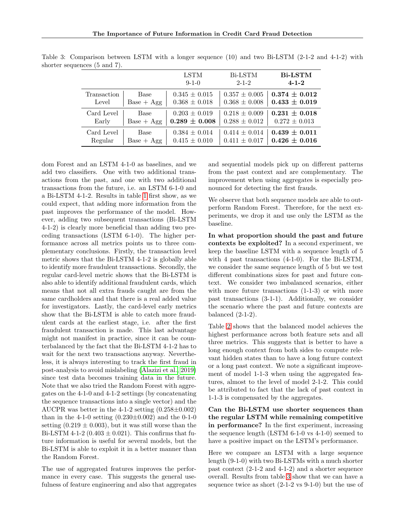<span id="page-7-0"></span>

|             |              | <b>LSTM</b><br>$9 - 1 - 0$ | Bi-LSTM<br>$2 - 1 - 2$ | <b>Bi-LSTM</b><br>$4 - 1 - 2$ |
|-------------|--------------|----------------------------|------------------------|-------------------------------|
| Transaction | Base         | $0.345 \pm 0.015$          | $0.357 \pm 0.005$      | $0.374 + 0.012$               |
| Level       | $Base + Age$ | $0.368 \pm 0.018$          | $0.368 \pm 0.008$      | $0.433 \pm 0.019$             |
| Card Level  | Base         | $0.203 \pm 0.019$          | $0.218 \pm 0.009$      | $0.231 \pm 0.018$             |
| Early       | $Base + Agg$ | $0.289 \pm 0.008$          | $0.288 \pm 0.012$      | $0.272 \pm 0.013$             |
| Card Level  | Base         | $0.384 \pm 0.014$          | $0.414 \pm 0.014$      | $0.439 + 0.011$               |
| Regular     | $Base + Agg$ | $0.415 \pm 0.010$          | $0.411 \pm 0.017$      | $0.426 \pm 0.016$             |

Table 3: Comparison between LSTM with a longer sequence (10) and two Bi-LSTM (2-1-2 and 4-1-2) with shorter sequences (5 and 7).

dom Forest and an LSTM 4-1-0 as baselines, and we add two classifiers. One with two additional transactions from the past, and one with two additional transactions from the future, i.e. an LSTM 6-1-0 and a Bi-LSTM 4-1-2. Results in table [1](#page-5-2) first show, as we could expect, that adding more information from the past improves the performance of the model. However, adding two subsequent transactions (Bi-LSTM 4-1-2) is clearly more beneficial than adding two preceding transactions (LSTM 6-1-0). The higher performance across all metrics points us to three complementary conclusions. Firstly, the transaction level metric shows that the Bi-LSTM 4-1-2 is globally able to identify more fraudulent transactions. Secondly, the regular card-level metric shows that the Bi-LSTM is also able to identify additional fraudulent cards, which means that not all extra frauds caught are from the same cardholders and that there is a real added value for investigators. Lastly, the card-level early metrics show that the Bi-LSTM is able to catch more fraudulent cards at the earliest stage, i.e. after the first fraudulent transaction is made. This last advantage might not manifest in practice, since it can be counterbalanced by the fact that the Bi-LSTM 4-1-2 has to wait for the next two transactions anyway. Nevertheless, it is always interesting to track the first fraud in post-analysis to avoid mislabeling [\(Alazizi et al., 2019\)](#page-9-5) since test data becomes training data in the future. Note that we also tried the Random Forest with aggregates on the 4-1-0 and 4-1-2 settings (by concatenating the sequence transactions into a single vector) and the AUCPR was better in the 4-1-2 setting  $(0.258 \pm 0.002)$ than in the 4-1-0 setting  $(0.230 \pm 0.002)$  and the 0-1-0 setting  $(0.219 \pm 0.003)$ , but it was still worse than the Bi-LSTM 4-1-2 (0.403  $\pm$  0.021). This confirms that future information is useful for several models, but the Bi-LSTM is able to exploit it in a better manner than the Random Forest.

The use of aggregated features improves the performance in every case. This suggests the general usefulness of feature engineering and also that aggregates and sequential models pick up on different patterns from the past context and are complementary. The improvement when using aggregates is especially pronounced for detecting the first frauds.

We observe that both sequence models are able to outperform Random Forest. Therefore, for the next experiments, we drop it and use only the LSTM as the baseline.

In what proportion should the past and future contexts be exploited? In a second experiment, we keep the baseline LSTM with a sequence length of 5 with 4 past transactions (4-1-0). For the Bi-LSTM, we consider the same sequence length of 5 but we test different combinations sizes for past and future context. We consider two imbalanced scenarios, either with more future transactions  $(1-1-3)$  or with more past transactions (3-1-1). Additionally, we consider the scenario where the past and future contexts are balanced (2-1-2).

Table [2](#page-6-0) shows that the balanced model achieves the highest performance across both feature sets and all three metrics. This suggests that is better to have a long enough context from both sides to compute relevant hidden states than to have a long future context or a long past context. We note a significant improvement of model 1-1-3 when using the aggregated features, almost to the level of model 2-1-2. This could be attributed to fact that the lack of past context in 1-1-3 is compensated by the aggregates.

Can the Bi-LSTM use shorter sequences than the regular LSTM while remaining competitive in performance? In the first experiment, increasing the sequence length (LSTM 6-1-0 vs 4-1-0) seemed to have a positive impact on the LSTM's performance.

Here we compare an LSTM with a large sequence length (9-1-0) with two Bi-LSTMs with a much shorter past context (2-1-2 and 4-1-2) and a shorter sequence overall. Results from table [3](#page-7-0) show that we can have a sequence twice as short (2-1-2 vs 9-1-0) but the use of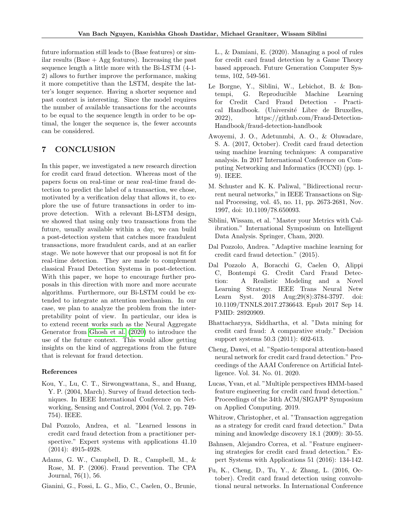future information still leads to (Base features) or similar results (Base  $+$  Agg features). Increasing the past sequence length a little more with the Bi-LSTM (4-1- 2) allows to further improve the performance, making it more competitive than the LSTM, despite the latter's longer sequence. Having a shorter sequence and past context is interesting. Since the model requires the number of available transactions for the accounts to be equal to the sequence length in order to be optimal, the longer the sequence is, the fewer accounts can be considered.

## 7 CONCLUSION

In this paper, we investigated a new research direction for credit card fraud detection. Whereas most of the papers focus on real-time or near real-time fraud detection to predict the label of a transaction, we chose, motivated by a verification delay that allows it, to explore the use of future transactions in order to improve detection. With a relevant Bi-LSTM design, we showed that using only two transactions from the future, usually available within a day, we can build a post-detection system that catches more fraudulent transactions, more fraudulent cards, and at an earlier stage. We note however that our proposal is not fit for real-time detection. They are made to complement classical Fraud Detection Systems in post-detection. With this paper, we hope to encourage further proposals in this direction with more and more accurate algorithms. Furthermore, our Bi-LSTM could be extended to integrate an attention mechanism. In our case, we plan to analyze the problem from the interpretability point of view. In particular, our idea is to extend recent works such as the Neural Aggregate Generator from [Ghosh et al.](#page-9-0) [\(2020\)](#page-9-0) to introduce the use of the future context. This would allow getting insights on the kind of aggregations from the future that is relevant for fraud detection.

#### References

- <span id="page-8-0"></span>Kou, Y., Lu, C. T., Sirwongwattana, S., and Huang, Y. P. (2004, March). Survey of fraud detection techniques. In IEEE International Conference on Networking, Sensing and Control, 2004 (Vol. 2, pp. 749- 754). IEEE.
- <span id="page-8-3"></span>Dal Pozzolo, Andrea, et al. "Learned lessons in credit card fraud detection from a practitioner perspective." Expert systems with applications 41.10 (2014): 4915-4928.
- <span id="page-8-4"></span>Adams, G. W., Campbell, D. R., Campbell, M., & Rose, M. P. (2006). Fraud prevention. The CPA Journal, 76(1), 56.
- <span id="page-8-8"></span>Gianini, G., Fossi, L. G., Mio, C., Caelen, O., Brunie,

L., & Damiani, E. (2020). Managing a pool of rules for credit card fraud detection by a Game Theory based approach. Future Generation Computer Systems, 102, 549-561.

- <span id="page-8-7"></span>Le Borgne, Y., Siblini, W., Lebichot, B. & Bontempi, G. Reproducible Machine Learning for Credit Card Fraud Detection - Practical Handbook. (Université Libre de Bruxelles, 2022), https://github.com/Fraud-Detection-Handbook/fraud-detection-handbook
- <span id="page-8-9"></span>Awoyemi, J. O., Adetunmbi, A. O., & Oluwadare, S. A. (2017, October). Credit card fraud detection using machine learning techniques: A comparative analysis. In 2017 International Conference on Computing Networking and Informatics (ICCNI) (pp. 1- 9). IEEE.
- M. Schuster and K. K. Paliwal, "Bidirectional recurrent neural networks," in IEEE Transactions on Signal Processing, vol. 45, no. 11, pp. 2673-2681, Nov. 1997, doi: 10.1109/78.650093.
- <span id="page-8-12"></span>Siblini, Wissam, et al. "Master your Metrics with Calibration." International Symposium on Intelligent Data Analysis. Springer, Cham, 2020.
- <span id="page-8-5"></span>Dal Pozzolo, Andrea. "Adaptive machine learning for credit card fraud detection." (2015).
- <span id="page-8-11"></span>Dal Pozzolo A, Boracchi G, Caelen O, Alippi C, Bontempi G. Credit Card Fraud Detection: A Realistic Modeling and a Novel Learning Strategy. IEEE Trans Neural Netw Learn Syst. 2018 Aug;29(8):3784-3797. doi: 10.1109/TNNLS.2017.2736643. Epub 2017 Sep 14. PMID: 28920909.
- <span id="page-8-6"></span>Bhattacharyya, Siddhartha, et al. "Data mining for credit card fraud: A comparative study." Decision support systems 50.3 (2011): 602-613.
- <span id="page-8-1"></span>Cheng, Dawei, et al. "Spatio-temporal attention-based neural network for credit card fraud detection." Proceedings of the AAAI Conference on Artificial Intelligence. Vol. 34. No. 01. 2020.
- <span id="page-8-2"></span>Lucas, Yvan, et al. "Multiple perspectives HMM-based feature engineering for credit card fraud detection." Proceedings of the 34th ACM/SIGAPP Symposium on Applied Computing. 2019.
- <span id="page-8-13"></span>Whitrow, Christopher, et al. "Transaction aggregation as a strategy for credit card fraud detection." Data mining and knowledge discovery 18.1 (2009): 30-55.
- <span id="page-8-10"></span>Bahnsen, Alejandro Correa, et al. "Feature engineering strategies for credit card fraud detection." Expert Systems with Applications 51 (2016): 134-142.
- <span id="page-8-14"></span>Fu, K., Cheng, D., Tu, Y., & Zhang, L. (2016, October). Credit card fraud detection using convolutional neural networks. In International Conference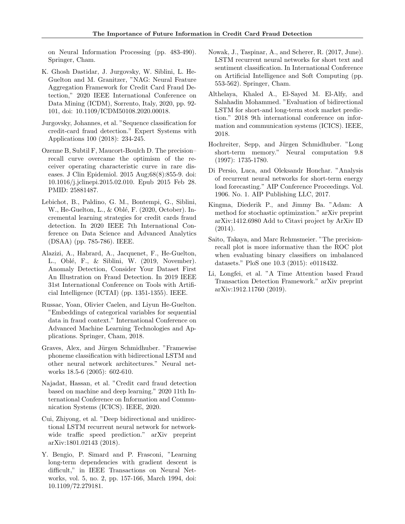on Neural Information Processing (pp. 483-490). Springer, Cham.

- <span id="page-9-0"></span>K. Ghosh Dastidar, J. Jurgovsky, W. Siblini, L. He-Guelton and M. Granitzer, "NAG: Neural Feature Aggregation Framework for Credit Card Fraud Detection," 2020 IEEE International Conference on Data Mining (ICDM), Sorrento, Italy, 2020, pp. 92- 101, doi: 10.1109/ICDM50108.2020.00018.
- <span id="page-9-1"></span>Jurgovsky, Johannes, et al. "Sequence classification for credit-card fraud detection." Expert Systems with Applications 100 (2018): 234-245.
- Ozenne B, Subtil F, Maucort-Boulch D. The precision– recall curve overcame the optimism of the receiver operating characteristic curve in rare diseases. J Clin Epidemiol. 2015 Aug;68(8):855-9. doi: 10.1016/j.jclinepi.2015.02.010. Epub 2015 Feb 28. PMID: 25881487.
- <span id="page-9-4"></span>Lebichot, B., Paldino, G. M., Bontempi, G., Siblini, W., He-Guelton, L., & Oblé, F. (2020, October). Incremental learning strategies for credit cards fraud detection. In 2020 IEEE 7th International Conference on Data Science and Advanced Analytics (DSAA) (pp. 785-786). IEEE.
- <span id="page-9-5"></span>Alazizi, A., Habrard, A., Jacquenet, F., He-Guelton, L., Oblé, F., & Siblini, W. (2019, November). Anomaly Detection, Consider Your Dataset First An Illustration on Fraud Detection. In 2019 IEEE 31st International Conference on Tools with Artificial Intelligence (ICTAI) (pp. 1351-1355). IEEE.
- <span id="page-9-10"></span>Russac, Yoan, Olivier Caelen, and Liyun He-Guelton. "Embeddings of categorical variables for sequential data in fraud context." International Conference on Advanced Machine Learning Technologies and Applications. Springer, Cham, 2018.
- <span id="page-9-3"></span>Graves, Alex, and Jürgen Schmidhuber. "Framewise phoneme classification with bidirectional LSTM and other neural network architectures." Neural networks 18.5-6 (2005): 602-610.
- Najadat, Hassan, et al. "Credit card fraud detection based on machine and deep learning." 2020 11th International Conference on Information and Communication Systems (ICICS). IEEE, 2020.
- <span id="page-9-8"></span>Cui, Zhiyong, et al. "Deep bidirectional and unidirectional LSTM recurrent neural network for networkwide traffic speed prediction." arXiv preprint arXiv:1801.02143 (2018).
- Y. Bengio, P. Simard and P. Frasconi, "Learning long-term dependencies with gradient descent is difficult," in IEEE Transactions on Neural Networks, vol. 5, no. 2, pp. 157-166, March 1994, doi: 10.1109/72.279181.
- Nowak, J., Taspinar, A., and Scherer, R. (2017, June). LSTM recurrent neural networks for short text and sentiment classification. In International Conference on Artificial Intelligence and Soft Computing (pp. 553-562). Springer, Cham.
- <span id="page-9-7"></span>Althelaya, Khaled A., El-Sayed M. El-Alfy, and Salahadin Mohammed. "Evaluation of bidirectional LSTM for short-and long-term stock market prediction." 2018 9th international conference on information and communication systems (ICICS). IEEE, 2018.
- <span id="page-9-2"></span>Hochreiter, Sepp, and Jürgen Schmidhuber. "Long" short-term memory." Neural computation 9.8 (1997): 1735-1780.
- <span id="page-9-6"></span>Di Persio, Luca, and Oleksandr Honchar. "Analysis of recurrent neural networks for short-term energy load forecasting." AIP Conference Proceedings. Vol. 1906. No. 1. AIP Publishing LLC, 2017.
- <span id="page-9-11"></span>Kingma, Diederik P., and Jimmy Ba. "Adam: A method for stochastic optimization." arXiv preprint arXiv:1412.6980 Add to Citavi project by ArXiv ID (2014).
- <span id="page-9-12"></span>Saito, Takaya, and Marc Rehmsmeier. "The precisionrecall plot is more informative than the ROC plot when evaluating binary classifiers on imbalanced datasets." PloS one 10.3 (2015): e0118432.
- <span id="page-9-9"></span>Li, Longfei, et al. "A Time Attention based Fraud Transaction Detection Framework." arXiv preprint arXiv:1912.11760 (2019).